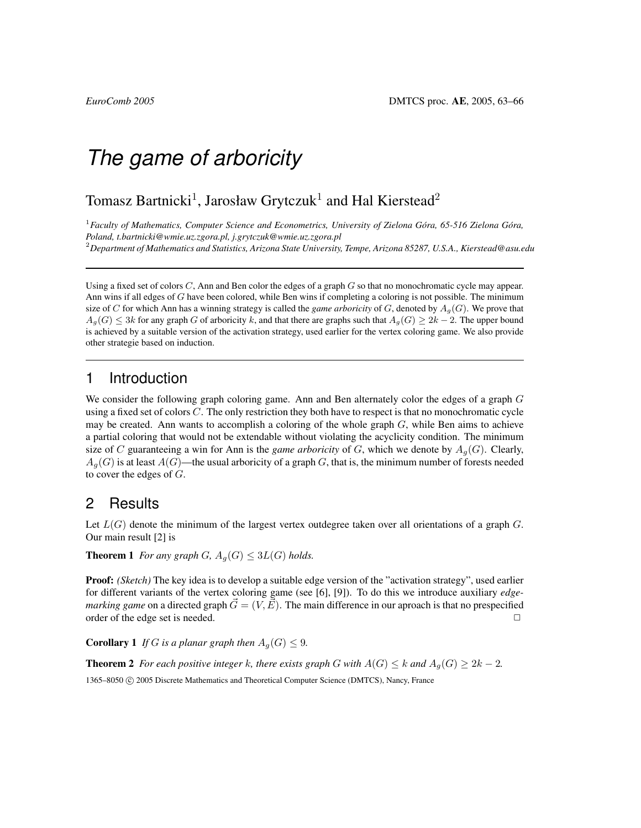# *The game of arboricity*

## Tomasz Bartnicki<sup>1</sup>, Jarosław Grytczuk<sup>1</sup> and Hal Kierstead<sup>2</sup>

<sup>1</sup> Faculty of Mathematics, Computer Science and Econometrics, University of Zielona Góra, 65-516 Zielona Góra, *Poland, t.bartnicki@wmie.uz.zgora.pl, j.grytczuk@wmie.uz.zgora.pl* <sup>2</sup>*Department of Mathematics and Statistics, Arizona State University, Tempe, Arizona 85287, U.S.A., Kierstead@asu.edu*

Using a fixed set of colors  $C$ , Ann and Ben color the edges of a graph  $G$  so that no monochromatic cycle may appear. Ann wins if all edges of G have been colored, while Ben wins if completing a coloring is not possible. The minimum size of C for which Ann has a winning strategy is called the *game arboricity* of G, denoted by  $A_q(G)$ . We prove that  $A_q(G) \leq 3k$  for any graph G of arboricity k, and that there are graphs such that  $A_q(G) \geq 2k - 2$ . The upper bound is achieved by a suitable version of the activation strategy, used earlier for the vertex coloring game. We also provide other strategie based on induction.

### 1 Introduction

We consider the following graph coloring game. Ann and Ben alternately color the edges of a graph G using a fixed set of colors C. The only restriction they both have to respect is that no monochromatic cycle may be created. Ann wants to accomplish a coloring of the whole graph  $G$ , while Ben aims to achieve a partial coloring that would not be extendable without violating the acyclicity condition. The minimum size of C guaranteeing a win for Ann is the *game arboricity* of G, which we denote by  $A_q(G)$ . Clearly,  $A_q(G)$  is at least  $A(G)$ —the usual arboricity of a graph G, that is, the minimum number of forests needed to cover the edges of  $G$ .

#### 2 Results

Let  $L(G)$  denote the minimum of the largest vertex outdegree taken over all orientations of a graph  $G$ . Our main result [2] is

**Theorem 1** *For any graph G*,  $A_g(G) \leq 3L(G)$  *holds.* 

Proof: *(Sketch)* The key idea is to develop a suitable edge version of the "activation strategy", used earlier for different variants of the vertex coloring game (see [6], [9]). To do this we introduce auxiliary *edgemarking game* on a directed graph  $\vec{G} = (V, \vec{E})$ . The main difference in our aproach is that no prespecified order of the edge set is needed.  $\Box$ 

**Corollary 1** *If* G *is a planar graph then*  $A_q(G) \leq 9$ *.* 

**Theorem 2** *For each positive integer* k, there exists graph G with  $A(G) \le k$  and  $A_q(G) \ge 2k - 2$ . 1365–8050 © 2005 Discrete Mathematics and Theoretical Computer Science (DMTCS), Nancy, France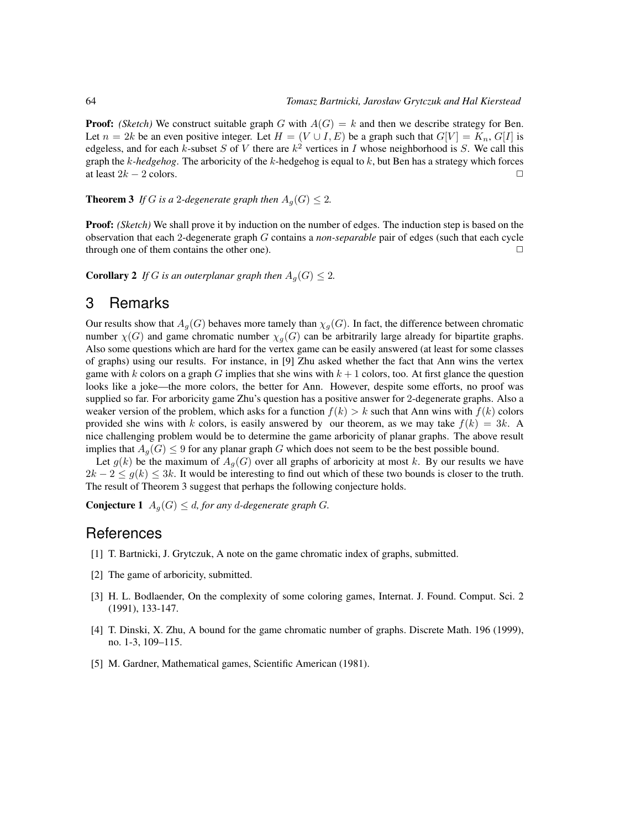**Proof:** *(Sketch)* We construct suitable graph G with  $A(G) = k$  and then we describe strategy for Ben. Let  $n = 2k$  be an even positive integer. Let  $H = (V \cup I, E)$  be a graph such that  $G[V] = K_n, G[I]$  is edgeless, and for each k-subset S of V there are  $k^2$  vertices in I whose neighborhood is S. We call this graph the k*-hedgehog*. The arboricity of the k-hedgehog is equal to k, but Ben has a strategy which forces at least  $2k - 2$  colors.  $\Box$ 

**Theorem 3** *If* G *is a* 2-degenerate graph then  $A<sub>g</sub>(G) \leq 2$ .

Proof: *(Sketch)* We shall prove it by induction on the number of edges. The induction step is based on the observation that each 2-degenerate graph G contains a *non-separable* pair of edges (such that each cycle through one of them contains the other one).  $\Box$ 

**Corollary 2** *If* G *is an outerplanar graph then*  $A_g(G) \leq 2$ *.* 

#### 3 Remarks

Our results show that  $A_q(G)$  behaves more tamely than  $\chi_q(G)$ . In fact, the difference between chromatic number  $\chi(G)$  and game chromatic number  $\chi_q(G)$  can be arbitrarily large already for bipartite graphs. Also some questions which are hard for the vertex game can be easily answered (at least for some classes of graphs) using our results. For instance, in [9] Zhu asked whether the fact that Ann wins the vertex game with k colors on a graph G implies that she wins with  $k + 1$  colors, too. At first glance the question looks like a joke—the more colors, the better for Ann. However, despite some efforts, no proof was supplied so far. For arboricity game Zhu's question has a positive answer for 2-degenerate graphs. Also a weaker version of the problem, which asks for a function  $f(k) > k$  such that Ann wins with  $f(k)$  colors provided she wins with k colors, is easily answered by our theorem, as we may take  $f(k) = 3k$ . A nice challenging problem would be to determine the game arboricity of planar graphs. The above result implies that  $A_q(G) \leq 9$  for any planar graph G which does not seem to be the best possible bound.

Let  $g(k)$  be the maximum of  $A_g(G)$  over all graphs of arboricity at most k. By our results we have  $2k - 2 \le g(k) \le 3k$ . It would be interesting to find out which of these two bounds is closer to the truth. The result of Theorem 3 suggest that perhaps the following conjecture holds.

**Conjecture 1**  $A_q(G) \leq d$ , for any d-degenerate graph G.

#### References

- [1] T. Bartnicki, J. Grytczuk, A note on the game chromatic index of graphs, submitted.
- [2] The game of arboricity, submitted.
- [3] H. L. Bodlaender, On the complexity of some coloring games, Internat. J. Found. Comput. Sci. 2 (1991), 133-147.
- [4] T. Dinski, X. Zhu, A bound for the game chromatic number of graphs. Discrete Math. 196 (1999), no. 1-3, 109–115.
- [5] M. Gardner, Mathematical games, Scientific American (1981).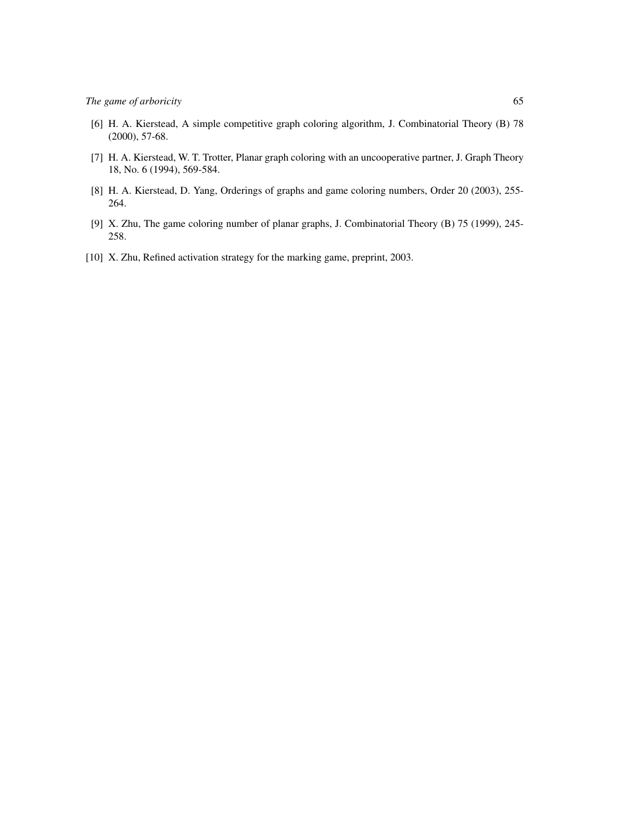- [6] H. A. Kierstead, A simple competitive graph coloring algorithm, J. Combinatorial Theory (B) 78 (2000), 57-68.
- [7] H. A. Kierstead, W. T. Trotter, Planar graph coloring with an uncooperative partner, J. Graph Theory 18, No. 6 (1994), 569-584.
- [8] H. A. Kierstead, D. Yang, Orderings of graphs and game coloring numbers, Order 20 (2003), 255- 264.
- [9] X. Zhu, The game coloring number of planar graphs, J. Combinatorial Theory (B) 75 (1999), 245- 258.
- [10] X. Zhu, Refined activation strategy for the marking game, preprint, 2003.